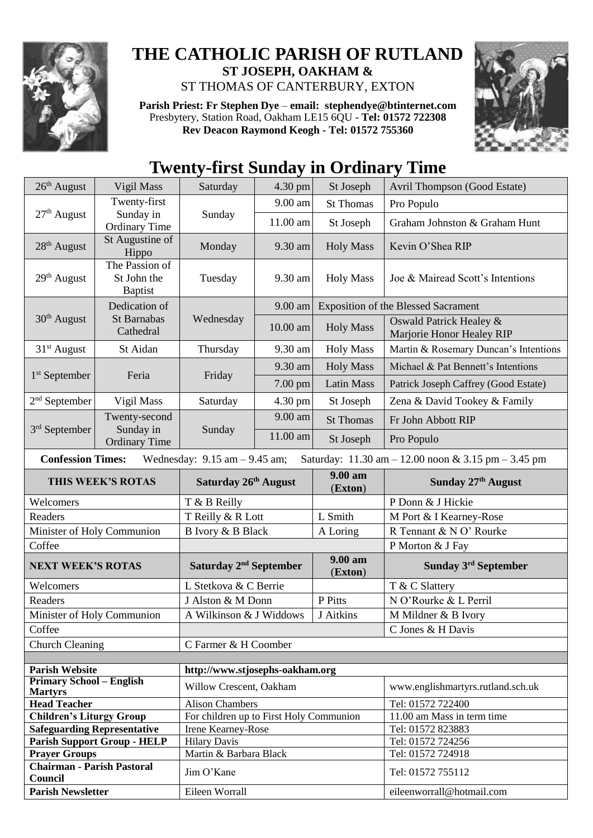

## **THE CATHOLIC PARISH OF RUTLAND ST JOSEPH, OAKHAM &**

ST THOMAS OF CANTERBURY, EXTON

**Parish Priest: Fr Stephen Dye** – **[email: stephendye@btinternet.com](mailto:email:%20%20stephendye@btinternet.com)** Presbytery, Station Road, Oakham LE15 6QU - **Tel: 01572 722308 Rev Deacon Raymond Keogh - Tel: 01572 755360**



## **Twenty-first Sunday in Ordinary Time**

| $26th$ August                                                        | Vigil Mass                                      | Saturday                                | 4.30 pm  | St Joseph             | Avril Thompson (Good Estate)                                                           |  |
|----------------------------------------------------------------------|-------------------------------------------------|-----------------------------------------|----------|-----------------------|----------------------------------------------------------------------------------------|--|
| $27th$ August                                                        | Twenty-first                                    |                                         | 9.00 am  | <b>St Thomas</b>      | Pro Populo                                                                             |  |
|                                                                      | Sunday in                                       | Sunday                                  | 11.00 am | St Joseph             | Graham Johnston & Graham Hunt                                                          |  |
|                                                                      | <b>Ordinary Time</b><br>St Augustine of         |                                         |          |                       |                                                                                        |  |
| 28 <sup>th</sup> August                                              | Hippo                                           | Monday                                  | 9.30 am  | <b>Holy Mass</b>      | Kevin O'Shea RIP                                                                       |  |
| 29 <sup>th</sup> August                                              | The Passion of<br>St John the<br><b>Baptist</b> | Tuesday                                 | 9.30 am  | <b>Holy Mass</b>      | Joe & Mairead Scott's Intentions                                                       |  |
| $30th$ August                                                        | Dedication of<br>St Barnabas<br>Cathedral       | Wednesday                               | 9.00 am  |                       | <b>Exposition of the Blessed Sacrament</b>                                             |  |
|                                                                      |                                                 |                                         | 10.00 am | <b>Holy Mass</b>      | Oswald Patrick Healey &<br>Marjorie Honor Healey RIP                                   |  |
| $31st$ August                                                        | St Aidan                                        | Thursday                                | 9.30 am  | <b>Holy Mass</b>      | Martin & Rosemary Duncan's Intentions                                                  |  |
|                                                                      | Feria                                           | Friday                                  | 9.30 am  | <b>Holy Mass</b>      | Michael & Pat Bennett's Intentions                                                     |  |
| 1 <sup>st</sup> September                                            |                                                 |                                         | 7.00 pm  | <b>Latin Mass</b>     | Patrick Joseph Caffrey (Good Estate)                                                   |  |
| $2nd$ September                                                      | Vigil Mass                                      | Saturday                                | 4.30 pm  | St Joseph             | Zena & David Tookey & Family                                                           |  |
|                                                                      | Twenty-second                                   | Sunday                                  | 9.00 am  | <b>St Thomas</b>      | Fr John Abbott RIP                                                                     |  |
| $3rd$ September                                                      | Sunday in<br><b>Ordinary Time</b>               |                                         | 11.00 am | St Joseph             | Pro Populo                                                                             |  |
| <b>Confession Times:</b>                                             |                                                 | Wednesday: $9.15$ am $-9.45$ am;        |          |                       | Saturday: $11.30 \text{ am} - 12.00 \text{ noon} \& 3.15 \text{ pm} - 3.45 \text{ pm}$ |  |
| THIS WEEK'S ROTAS                                                    |                                                 | Saturday 26th August                    |          | $9.00 a$ m<br>(Exton) | Sunday 27th August                                                                     |  |
| Welcomers                                                            |                                                 | T & B Reilly                            |          |                       | P Donn & J Hickie                                                                      |  |
| Readers                                                              |                                                 | T Reilly & R Lott                       |          | L Smith               | M Port & I Kearney-Rose                                                                |  |
| Minister of Holy Communion                                           |                                                 | B Ivory & B Black                       |          | A Loring              | R Tennant & N O' Rourke                                                                |  |
| Coffee                                                               |                                                 |                                         |          |                       | P Morton & J Fay                                                                       |  |
| <b>NEXT WEEK'S ROTAS</b>                                             |                                                 | Saturday 2 <sup>nd</sup> September      |          | 9.00 am<br>(Exton)    | Sunday 3 <sup>rd</sup> September                                                       |  |
| Welcomers                                                            |                                                 | L Stetkova & C Berrie                   |          |                       | T & C Slattery                                                                         |  |
| Readers                                                              |                                                 | J Alston & M Donn                       |          | P Pitts               | N O'Rourke & L Perril                                                                  |  |
| Minister of Holy Communion                                           |                                                 | A Wilkinson & J Widdows                 |          | J Aitkins             | M Mildner & B Ivory                                                                    |  |
| Coffee                                                               |                                                 |                                         |          |                       | C Jones & H Davis                                                                      |  |
| <b>Church Cleaning</b>                                               |                                                 | C Farmer & H Coomber                    |          |                       |                                                                                        |  |
|                                                                      |                                                 |                                         |          |                       |                                                                                        |  |
| <b>Parish Website</b>                                                |                                                 | http://www.stjosephs-oakham.org         |          |                       |                                                                                        |  |
| <b>Primary School - English</b><br><b>Martyrs</b>                    |                                                 |                                         |          |                       |                                                                                        |  |
|                                                                      |                                                 | Willow Crescent, Oakham                 |          |                       | www.englishmartyrs.rutland.sch.uk                                                      |  |
| <b>Head Teacher</b>                                                  |                                                 | <b>Alison Chambers</b>                  |          |                       | Tel: 01572 722400                                                                      |  |
| <b>Children's Liturgy Group</b>                                      |                                                 | For children up to First Holy Communion |          |                       | 11.00 am Mass in term time                                                             |  |
| <b>Safeguarding Representative</b>                                   |                                                 | Irene Kearney-Rose                      |          |                       | Tel: 01572 823883                                                                      |  |
|                                                                      | <b>Parish Support Group - HELP</b>              | <b>Hilary Davis</b>                     |          |                       | Tel: 01572 724256                                                                      |  |
| <b>Prayer Groups</b><br><b>Chairman - Parish Pastoral</b><br>Council |                                                 | Martin & Barbara Black<br>Jim O'Kane    |          |                       | Tel: 01572 724918<br>Tel: 01572 755112                                                 |  |